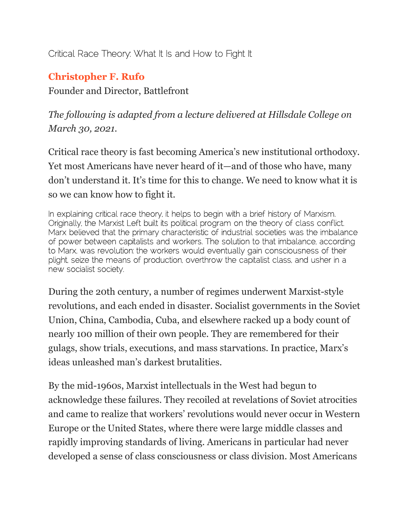Critical Race Theory: What It Is and How to Fight It

# **[Christopher F. Rufo](https://imprimis.hillsdale.edu/critical-race-theory-fight/?utm_medium=social&utm_source=email)**

Founder and Director, Battlefront

*The following is adapted from a lecture delivered at Hillsdale College on March 30, 2021.*

Critical race theory is fast becoming America's new institutional orthodoxy. Yet most Americans have never heard of it—and of those who have, many don't understand it. It's time for this to change. We need to know what it is so we can know how to fight it.

In explaining critical race theory, it helps to begin with a brief history of Marxism. Originally, the Marxist Left built its political program on the theory of class conflict. Marx believed that the primary characteristic of industrial societies was the imbalance of power between capitalists and workers. The solution to that imbalance, according to Marx, was revolution: the workers would eventually gain consciousness of their plight, seize the means of production, overthrow the capitalist class, and usher in a new socialist society.

During the 20th century, a number of regimes underwent Marxist-style revolutions, and each ended in disaster. Socialist governments in the Soviet Union, China, Cambodia, Cuba, and elsewhere racked up a body count of nearly 100 million of their own people. They are remembered for their gulags, show trials, executions, and mass starvations. In practice, Marx's ideas unleashed man's darkest brutalities.

By the mid-1960s, Marxist intellectuals in the West had begun to acknowledge these failures. They recoiled at revelations of Soviet atrocities and came to realize that workers' revolutions would never occur in Western Europe or the United States, where there were large middle classes and rapidly improving standards of living. Americans in particular had never developed a sense of class consciousness or class division. Most Americans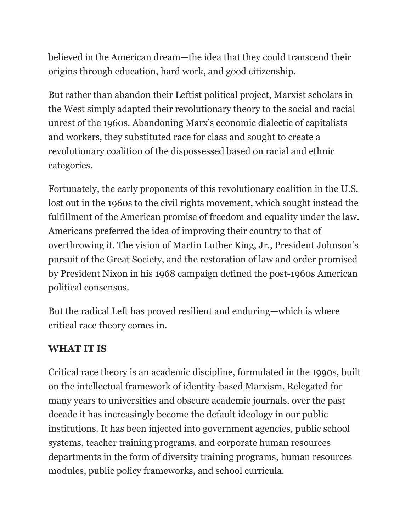believed in the American dream—the idea that they could transcend their origins through education, hard work, and good citizenship.

But rather than abandon their Leftist political project, Marxist scholars in the West simply adapted their revolutionary theory to the social and racial unrest of the 1960s. Abandoning Marx's economic dialectic of capitalists and workers, they substituted race for class and sought to create a revolutionary coalition of the dispossessed based on racial and ethnic categories.

Fortunately, the early proponents of this revolutionary coalition in the U.S. lost out in the 1960s to the civil rights movement, which sought instead the fulfillment of the American promise of freedom and equality under the law. Americans preferred the idea of improving their country to that of overthrowing it. The vision of Martin Luther King, Jr., President Johnson's pursuit of the Great Society, and the restoration of law and order promised by President Nixon in his 1968 campaign defined the post-1960s American political consensus.

But the radical Left has proved resilient and enduring—which is where critical race theory comes in.

#### **WHAT IT IS**

Critical race theory is an academic discipline, formulated in the 1990s, built on the intellectual framework of identity-based Marxism. Relegated for many years to universities and obscure academic journals, over the past decade it has increasingly become the default ideology in our public institutions. It has been injected into government agencies, public school systems, teacher training programs, and corporate human resources departments in the form of diversity training programs, human resources modules, public policy frameworks, and school curricula.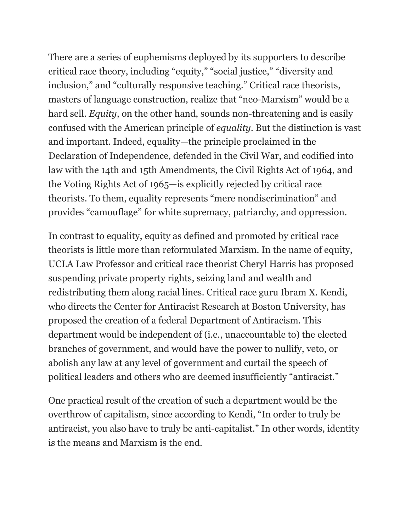There are a series of euphemisms deployed by its supporters to describe critical race theory, including "equity," "social justice," "diversity and inclusion," and "culturally responsive teaching." Critical race theorists, masters of language construction, realize that "neo-Marxism" would be a hard sell. *Equity*, on the other hand, sounds non-threatening and is easily confused with the American principle of *equality*. But the distinction is vast and important. Indeed, equality—the principle proclaimed in the Declaration of Independence, defended in the Civil War, and codified into law with the 14th and 15th Amendments, the Civil Rights Act of 1964, and the Voting Rights Act of 1965—is explicitly rejected by critical race theorists. To them, equality represents "mere nondiscrimination" and provides "camouflage" for white supremacy, patriarchy, and oppression.

In contrast to equality, equity as defined and promoted by critical race theorists is little more than reformulated Marxism. In the name of equity, UCLA Law Professor and critical race theorist Cheryl Harris has proposed suspending private property rights, seizing land and wealth and redistributing them along racial lines. Critical race guru Ibram X. Kendi, who directs the Center for Antiracist Research at Boston University, has proposed the creation of a federal Department of Antiracism. This department would be independent of (i.e., unaccountable to) the elected branches of government, and would have the power to nullify, veto, or abolish any law at any level of government and curtail the speech of political leaders and others who are deemed insufficiently "antiracist."

One practical result of the creation of such a department would be the overthrow of capitalism, since according to Kendi, "In order to truly be antiracist, you also have to truly be anti-capitalist." In other words, identity is the means and Marxism is the end.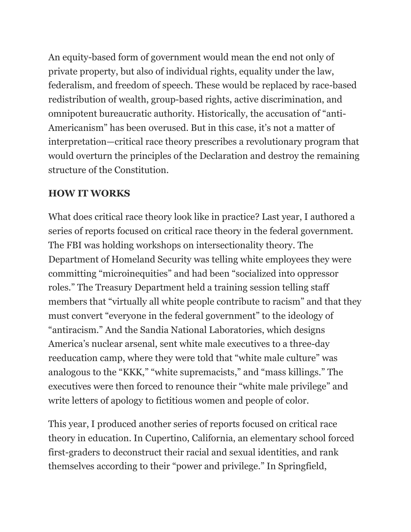An equity-based form of government would mean the end not only of private property, but also of individual rights, equality under the law, federalism, and freedom of speech. These would be replaced by race-based redistribution of wealth, group-based rights, active discrimination, and omnipotent bureaucratic authority. Historically, the accusation of "anti-Americanism" has been overused. But in this case, it's not a matter of interpretation—critical race theory prescribes a revolutionary program that would overturn the principles of the Declaration and destroy the remaining structure of the Constitution.

#### **HOW IT WORKS**

What does critical race theory look like in practice? Last year, I authored a series of reports focused on critical race theory in the federal government. The FBI was holding workshops on intersectionality theory. The Department of Homeland Security was telling white employees they were committing "microinequities" and had been "socialized into oppressor roles." The Treasury Department held a training session telling staff members that "virtually all white people contribute to racism" and that they must convert "everyone in the federal government" to the ideology of "antiracism." And the Sandia National Laboratories, which designs America's nuclear arsenal, sent white male executives to a three-day reeducation camp, where they were told that "white male culture" was analogous to the "KKK," "white supremacists," and "mass killings." The executives were then forced to renounce their "white male privilege" and write letters of apology to fictitious women and people of color.

This year, I produced another series of reports focused on critical race theory in education. In Cupertino, California, an elementary school forced first-graders to deconstruct their racial and sexual identities, and rank themselves according to their "power and privilege." In Springfield,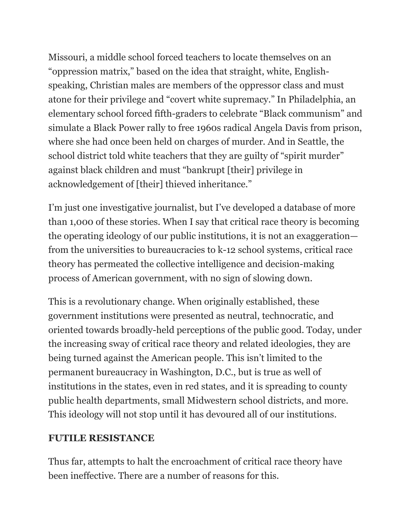Missouri, a middle school forced teachers to locate themselves on an "oppression matrix," based on the idea that straight, white, Englishspeaking, Christian males are members of the oppressor class and must atone for their privilege and "covert white supremacy." In Philadelphia, an elementary school forced fifth-graders to celebrate "Black communism" and simulate a Black Power rally to free 1960s radical Angela Davis from prison, where she had once been held on charges of murder. And in Seattle, the school district told white teachers that they are guilty of "spirit murder" against black children and must "bankrupt [their] privilege in acknowledgement of [their] thieved inheritance."

I'm just one investigative journalist, but I've developed a database of more than 1,000 of these stories. When I say that critical race theory is becoming the operating ideology of our public institutions, it is not an exaggeration from the universities to bureaucracies to k-12 school systems, critical race theory has permeated the collective intelligence and decision-making process of American government, with no sign of slowing down.

This is a revolutionary change. When originally established, these government institutions were presented as neutral, technocratic, and oriented towards broadly-held perceptions of the public good. Today, under the increasing sway of critical race theory and related ideologies, they are being turned against the American people. This isn't limited to the permanent bureaucracy in Washington, D.C., but is true as well of institutions in the states, even in red states, and it is spreading to county public health departments, small Midwestern school districts, and more. This ideology will not stop until it has devoured all of our institutions.

### **FUTILE RESISTANCE**

Thus far, attempts to halt the encroachment of critical race theory have been ineffective. There are a number of reasons for this.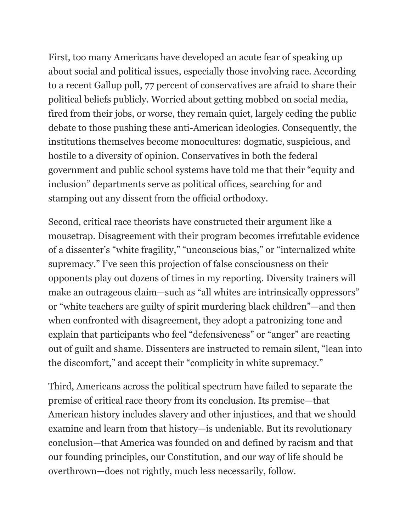First, too many Americans have developed an acute fear of speaking up about social and political issues, especially those involving race. According to a recent Gallup poll, 77 percent of conservatives are afraid to share their political beliefs publicly. Worried about getting mobbed on social media, fired from their jobs, or worse, they remain quiet, largely ceding the public debate to those pushing these anti-American ideologies. Consequently, the institutions themselves become monocultures: dogmatic, suspicious, and hostile to a diversity of opinion. Conservatives in both the federal government and public school systems have told me that their "equity and inclusion" departments serve as political offices, searching for and stamping out any dissent from the official orthodoxy.

Second, critical race theorists have constructed their argument like a mousetrap. Disagreement with their program becomes irrefutable evidence of a dissenter's "white fragility," "unconscious bias," or "internalized white supremacy." I've seen this projection of false consciousness on their opponents play out dozens of times in my reporting. Diversity trainers will make an outrageous claim—such as "all whites are intrinsically oppressors" or "white teachers are guilty of spirit murdering black children"—and then when confronted with disagreement, they adopt a patronizing tone and explain that participants who feel "defensiveness" or "anger" are reacting out of guilt and shame. Dissenters are instructed to remain silent, "lean into the discomfort," and accept their "complicity in white supremacy."

Third, Americans across the political spectrum have failed to separate the premise of critical race theory from its conclusion. Its premise—that American history includes slavery and other injustices, and that we should examine and learn from that history—is undeniable. But its revolutionary conclusion—that America was founded on and defined by racism and that our founding principles, our Constitution, and our way of life should be overthrown—does not rightly, much less necessarily, follow.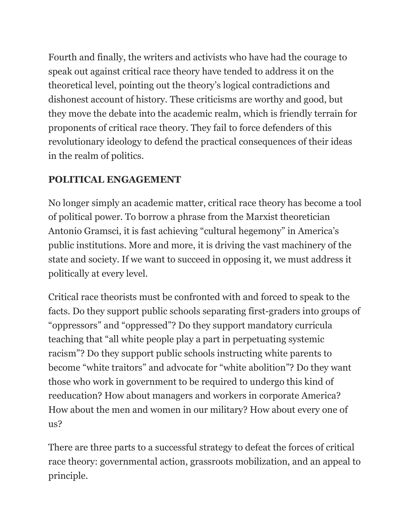Fourth and finally, the writers and activists who have had the courage to speak out against critical race theory have tended to address it on the theoretical level, pointing out the theory's logical contradictions and dishonest account of history. These criticisms are worthy and good, but they move the debate into the academic realm, which is friendly terrain for proponents of critical race theory. They fail to force defenders of this revolutionary ideology to defend the practical consequences of their ideas in the realm of politics.

## **POLITICAL ENGAGEMENT**

No longer simply an academic matter, critical race theory has become a tool of political power. To borrow a phrase from the Marxist theoretician Antonio Gramsci, it is fast achieving "cultural hegemony" in America's public institutions. More and more, it is driving the vast machinery of the state and society. If we want to succeed in opposing it, we must address it politically at every level.

Critical race theorists must be confronted with and forced to speak to the facts. Do they support public schools separating first-graders into groups of "oppressors" and "oppressed"? Do they support mandatory curricula teaching that "all white people play a part in perpetuating systemic racism"? Do they support public schools instructing white parents to become "white traitors" and advocate for "white abolition"? Do they want those who work in government to be required to undergo this kind of reeducation? How about managers and workers in corporate America? How about the men and women in our military? How about every one of  $\overline{u}$ s?

There are three parts to a successful strategy to defeat the forces of critical race theory: governmental action, grassroots mobilization, and an appeal to principle.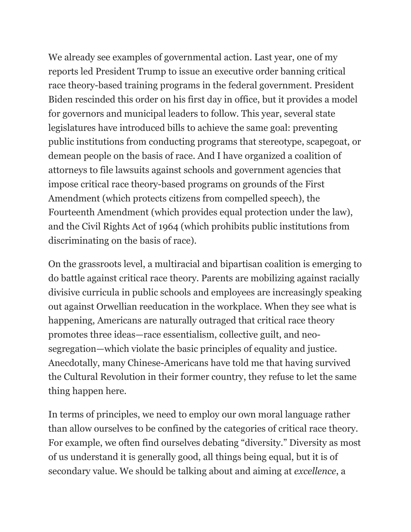We already see examples of governmental action. Last year, one of my reports led President Trump to issue an executive order banning critical race theory-based training programs in the federal government. President Biden rescinded this order on his first day in office, but it provides a model for governors and municipal leaders to follow. This year, several state legislatures have introduced bills to achieve the same goal: preventing public institutions from conducting programs that stereotype, scapegoat, or demean people on the basis of race. And I have organized a coalition of attorneys to file lawsuits against schools and government agencies that impose critical race theory-based programs on grounds of the First Amendment (which protects citizens from compelled speech), the Fourteenth Amendment (which provides equal protection under the law), and the Civil Rights Act of 1964 (which prohibits public institutions from discriminating on the basis of race).

On the grassroots level, a multiracial and bipartisan coalition is emerging to do battle against critical race theory. Parents are mobilizing against racially divisive curricula in public schools and employees are increasingly speaking out against Orwellian reeducation in the workplace. When they see what is happening, Americans are naturally outraged that critical race theory promotes three ideas—race essentialism, collective guilt, and neosegregation—which violate the basic principles of equality and justice. Anecdotally, many Chinese-Americans have told me that having survived the Cultural Revolution in their former country, they refuse to let the same thing happen here.

In terms of principles, we need to employ our own moral language rather than allow ourselves to be confined by the categories of critical race theory. For example, we often find ourselves debating "diversity." Diversity as most of us understand it is generally good, all things being equal, but it is of secondary value. We should be talking about and aiming at *excellence*, a